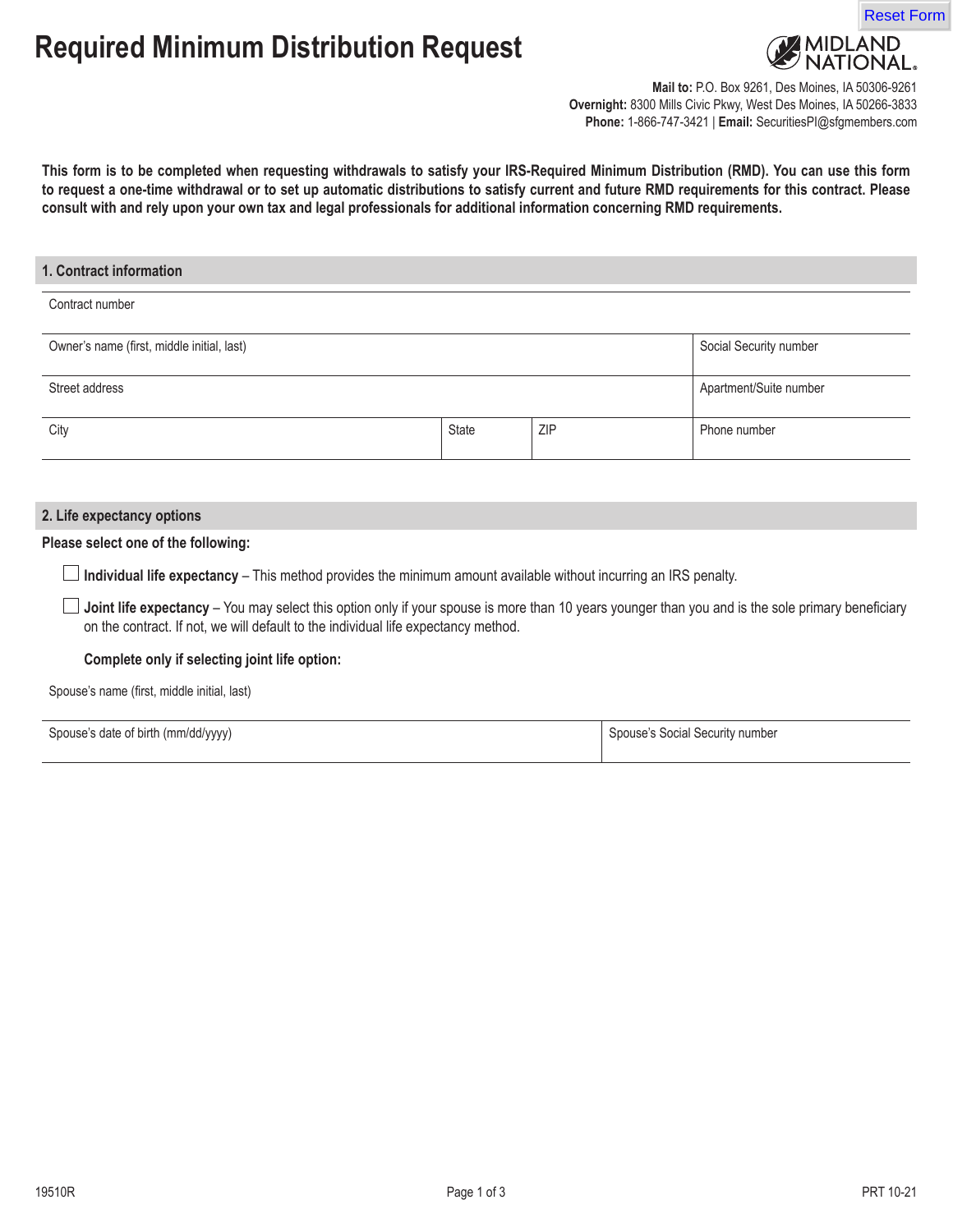# **Required Minimum Distribution Request**



<mark>AIDLAND</mark><br>JATIONAL,

**Mail to:** P.O. Box 9261, Des Moines, IA 50306-9261 **Overnight:** 8300 Mills Civic Pkwy, West Des Moines, IA 50266-3833 **Phone:** 1-866-747-3421 | **Email:** SecuritiesPI@sfgmembers.com

**This form is to be completed when requesting withdrawals to satisfy your IRS-Required Minimum Distribution (RMD). You can use this form to request a one-time withdrawal or to set up automatic distributions to satisfy current and future RMD requirements for this contract. Please consult with and rely upon your own tax and legal professionals for additional information concerning RMD requirements.**

### **1. Contract information**

#### Contract number

| Owner's name (first, middle initial, last) |              |            | Social Security number |
|--------------------------------------------|--------------|------------|------------------------|
| Street address                             |              |            | Apartment/Suite number |
| City                                       | <b>State</b> | <b>ZIP</b> | Phone number           |

### **2. Life expectancy options**

## **Please select one of the following:**

**Individual life expectancy** – This method provides the minimum amount available without incurring an IRS penalty.

**Joint life expectancy** – You may select this option only if your spouse is more than 10 years younger than you and is the sole primary beneficiary on the contract. If not, we will default to the individual life expectancy method.

## **Complete only if selecting joint life option:**

Spouse's name (first, middle initial, last)

| Spouse's date of birth (mm/dd/yyyy) | Spouse's Social Security number |
|-------------------------------------|---------------------------------|
|                                     |                                 |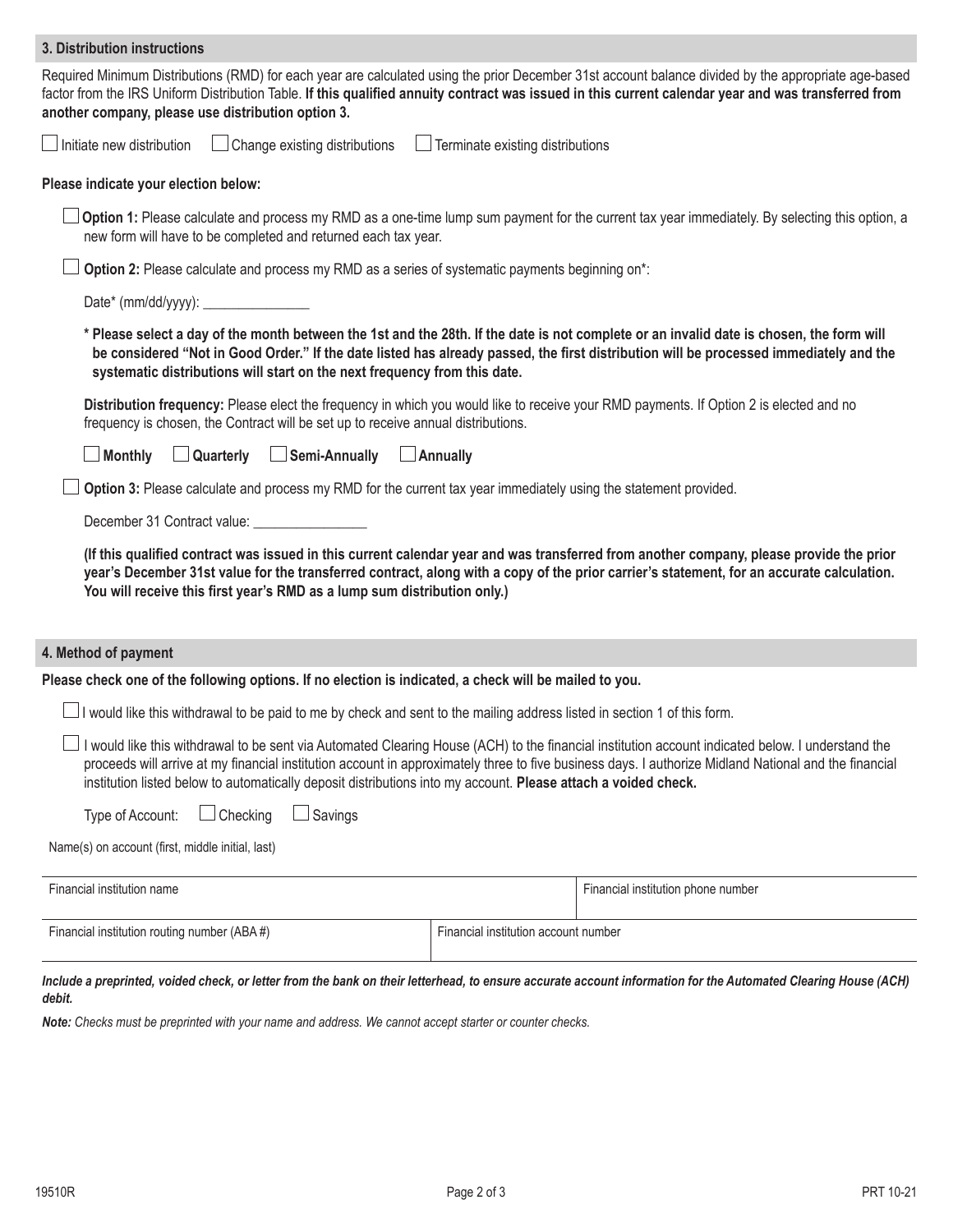| 3. Distribution instructions                                                                                                                                                                                                                                                                                                                                                                                                 |                                         |                                    |
|------------------------------------------------------------------------------------------------------------------------------------------------------------------------------------------------------------------------------------------------------------------------------------------------------------------------------------------------------------------------------------------------------------------------------|-----------------------------------------|------------------------------------|
| Required Minimum Distributions (RMD) for each year are calculated using the prior December 31st account balance divided by the appropriate age-based<br>factor from the IRS Uniform Distribution Table. If this qualified annuity contract was issued in this current calendar year and was transferred from<br>another company, please use distribution option 3.                                                           |                                         |                                    |
| $\Box$ Initiate new distribution<br>Change existing distributions                                                                                                                                                                                                                                                                                                                                                            | $\Box$ Terminate existing distributions |                                    |
| Please indicate your election below:                                                                                                                                                                                                                                                                                                                                                                                         |                                         |                                    |
| Option 1: Please calculate and process my RMD as a one-time lump sum payment for the current tax year immediately. By selecting this option, a<br>new form will have to be completed and returned each tax year.                                                                                                                                                                                                             |                                         |                                    |
| Option 2: Please calculate and process my RMD as a series of systematic payments beginning on*:                                                                                                                                                                                                                                                                                                                              |                                         |                                    |
|                                                                                                                                                                                                                                                                                                                                                                                                                              |                                         |                                    |
| * Please select a day of the month between the 1st and the 28th. If the date is not complete or an invalid date is chosen, the form will<br>be considered "Not in Good Order." If the date listed has already passed, the first distribution will be processed immediately and the<br>systematic distributions will start on the next frequency from this date.                                                              |                                         |                                    |
| Distribution frequency: Please elect the frequency in which you would like to receive your RMD payments. If Option 2 is elected and no<br>frequency is chosen, the Contract will be set up to receive annual distributions.                                                                                                                                                                                                  |                                         |                                    |
| $\Box$ Semi-Annually<br><b>Monthly</b><br>$\Box$ Quarterly                                                                                                                                                                                                                                                                                                                                                                   | $\Box$ Annually                         |                                    |
| Option 3: Please calculate and process my RMD for the current tax year immediately using the statement provided.                                                                                                                                                                                                                                                                                                             |                                         |                                    |
| December 31 Contract value: _____________                                                                                                                                                                                                                                                                                                                                                                                    |                                         |                                    |
| (If this qualified contract was issued in this current calendar year and was transferred from another company, please provide the prior<br>year's December 31st value for the transferred contract, along with a copy of the prior carrier's statement, for an accurate calculation.<br>You will receive this first year's RMD as a lump sum distribution only.)                                                             |                                         |                                    |
| 4. Method of payment                                                                                                                                                                                                                                                                                                                                                                                                         |                                         |                                    |
| Please check one of the following options. If no election is indicated, a check will be mailed to you.                                                                                                                                                                                                                                                                                                                       |                                         |                                    |
| I would like this withdrawal to be paid to me by check and sent to the mailing address listed in section 1 of this form.                                                                                                                                                                                                                                                                                                     |                                         |                                    |
| I would like this withdrawal to be sent via Automated Clearing House (ACH) to the financial institution account indicated below. I understand the<br>proceeds will arrive at my financial institution account in approximately three to five business days. I authorize Midland National and the financial<br>institution listed below to automatically deposit distributions into my account. Please attach a voided check. |                                         |                                    |
| Checking<br>$\Box$ Savings<br>Type of Account:                                                                                                                                                                                                                                                                                                                                                                               |                                         |                                    |
| Name(s) on account (first, middle initial, last)                                                                                                                                                                                                                                                                                                                                                                             |                                         |                                    |
| Financial institution name                                                                                                                                                                                                                                                                                                                                                                                                   |                                         | Financial institution phone number |
| Financial institution routing number (ABA#)                                                                                                                                                                                                                                                                                                                                                                                  | Financial institution account number    |                                    |
| Include a preprinted, voided check, or letter from the bank on their letterhead, to ensure accurate account information for the Automated Clearing House (ACH)                                                                                                                                                                                                                                                               |                                         |                                    |

# *debit.*

*Note: Checks must be preprinted with your name and address. We cannot accept starter or counter checks.*